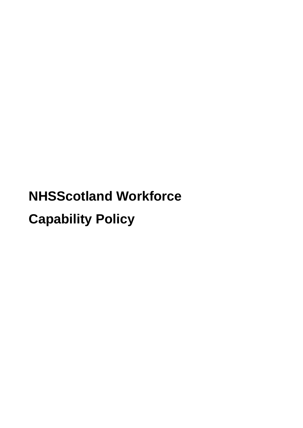# **NHSScotland Workforce Capability Policy**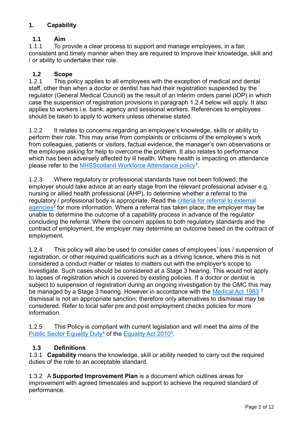# **1. Capability**

# **1.1 Aim**

1.1.1 To provide a clear process to support and manage employees, in a fair, consistent and timely manner when they are required to improve their knowledge, skill and / or ability to undertake their role.

# **1.2 Scope**

1.2.1 This policy applies to all employees with the exception of medical and dental staff, other than when a doctor or dentist has had their registration suspended by the regulator (General Medical Council) as the result of an interim orders panel (IOP) in which case the suspension of registration provisions in paragraph 1.2.4 below will apply. It also applies to workers i.e. bank, agency and sessional workers. References to employees should be taken to apply to workers unless otherwise stated.

1.2.2 It relates to concerns regarding an employee's knowledge, skills or ability to perform their role. This may arise from complaints or criticisms of the employee's work from colleagues, patients or visitors, factual evidence, the manager's own observations or the employee asking for help to overcome the problem. It also relates to performance which has been adversely affected by ill health. Where health is impacting on attendance please refer to the [NHSScotland Workforce Attendance policy](https://workforce.nhs.scot/policies/attendance-policy-overview/)<sup>1</sup>.

1.2.3 Where regulatory or professional standards have not been followed, the employer should take advice at an early stage from the relevant professional adviser e.g. nursing or allied health professional (AHP), to determine whether a referral to the regulatory / professional body is appropriate. Read the criteria for [referral to external](https://workforce.nhs.scot/supporting-documents/guides/criteria-for-referral-to-external-agencies/)  [agencies](https://workforce.nhs.scot/supporting-documents/guides/criteria-for-referral-to-external-agencies/)<sup>2</sup> for more information. Where a referral has taken place, the employer may be unable to determine the outcome of a capability process in advance of the regulator concluding the referral. Where the concern applies to both regulatory standards and the contract of employment, the employer may determine an outcome based on the contract of employment.

1.2.4 This policy will also be used to consider cases of employees' loss / suspension of registration, or other required qualifications such as a driving licence, where this is not considered a conduct matter or relates to matters out with the employer's scope to investigate. Such cases should be considered at a Stage 3 hearing. This would not apply to lapses of registration which is covered by existing policies. If a doctor or dentist is subject to suspension of registration during an ongoing investigation by the GMC this may be managed by a Stage 3 hearing. However in accordance with the [Medical Act 1983](http://www.legislation.gov.uk/ukpga/1983/54/contents)<sup>3</sup> dismissal is not an appropriate sanction; therefore only alternatives to dismissal may be considered. Refer to local safer pre and post employment checks policies for more information.

1.2.5 This Policy is compliant with current legislation and will meet the aims of the [Public Sector Equality Duty](https://workforce.nhs.scot/about/principles-and-values/)<sup>4</sup> of the [Equality Act 2010](https://www.legislation.gov.uk/ukpga/2010/15/contents)<sup>5</sup>.

# **1.3 Definitions**

1.3.1 **Capability** means the knowledge, skill or ability needed to carry out the required duties of the role to an acceptable standard.

1.3.2 A **Supported Improvement Plan** is a document which outlines areas for improvement with agreed timescales and support to achieve the required standard of performance.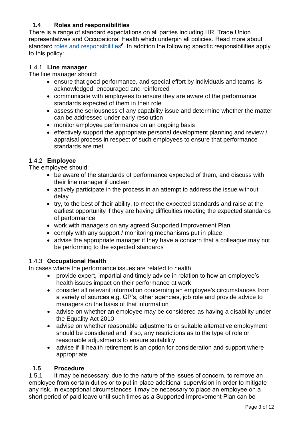## **1.4 Roles and responsibilities**

There is a range of standard expectations on all parties including HR, Trade Union representatives and Occupational Health which underpin all policies. Read more about standard **roles and responsibilities<sup>6</sup>.** In addition the following specific responsibilities apply to this policy:

## 1.4.1 **Line manager**

The line manager should:

- ensure that good performance, and special effort by individuals and teams, is acknowledged, encouraged and reinforced
- communicate with employees to ensure they are aware of the performance standards expected of them in their role
- assess the seriousness of any capability issue and determine whether the matter can be addressed under early resolution
- monitor employee performance on an ongoing basis
- effectively support the appropriate personal development planning and review / appraisal process in respect of such employees to ensure that performance standards are met

## 1.4.2 **Employee**

The employee should:

- be aware of the standards of performance expected of them, and discuss with their line manager if unclear
- actively participate in the process in an attempt to address the issue without delay
- try, to the best of their ability, to meet the expected standards and raise at the earliest opportunity if they are having difficulties meeting the expected standards of performance
- work with managers on any agreed Supported Improvement Plan
- comply with any support / monitoring mechanisms put in place
- advise the appropriate manager if they have a concern that a colleague may not be performing to the expected standards

## 1.4.3 **Occupational Health**

In cases where the performance issues are related to health

- provide expert, impartial and timely advice in relation to how an employee's health issues impact on their performance at work
- consider all relevant information concerning an employee's circumstances from a variety of sources e.g. GP's, other agencies, job role and provide advice to managers on the basis of that information
- advise on whether an employee may be considered as having a disability under the Equality Act 2010
- advise on whether reasonable adjustments or suitable alternative employment should be considered and, if so, any restrictions as to the type of role or reasonable adjustments to ensure suitability
- advise if ill health retirement is an option for consideration and support where appropriate.

## **1.5 Procedure**

1.5.1 It may be necessary, due to the nature of the issues of concern, to remove an employee from certain duties or to put in place additional supervision in order to mitigate any risk. In exceptional circumstances it may be necessary to place an employee on a short period of paid leave until such times as a Supported Improvement Plan can be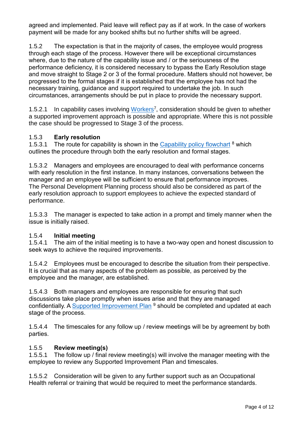agreed and implemented. Paid leave will reflect pay as if at work. In the case of workers payment will be made for any booked shifts but no further shifts will be agreed.

1.5.2 The expectation is that in the majority of cases, the employee would progress through each stage of the process. However there will be exceptional circumstances where, due to the nature of the capability issue and / or the seriousness of the performance deficiency, it is considered necessary to bypass the Early Resolution stage and move straight to Stage 2 or 3 of the formal procedure. Matters should not however, be progressed to the formal stages if it is established that the employee has not had the necessary training, guidance and support required to undertake the job. In such circumstances, arrangements should be put in place to provide the necessary support.

1.5.2.1 In capability cases involving [Workers](https://workforce.nhs.scot/supporting-documents/guides/guide-to-the-application-of-nhsscotland-workforce-policies-to-workers/)<sup>7</sup>, consideration should be given to whether a supported improvement approach is possible and appropriate. Where this is not possible the case should be progressed to Stage 3 of the process.

## 1.5.3 **Early resolution**

1.5.3.1 The route for capability is shown in the [Capability policy flowchart](https://workforce.nhs.scot/media/liwkikak/nhsscotland-workforce-capability-policy-flowchart.pdf)  $8$  which outlines the procedure through both the early resolution and formal stages.

1.5.3.2 Managers and employees are encouraged to deal with performance concerns with early resolution in the first instance. In many instances, conversations between the manager and an employee will be sufficient to ensure that performance improves. The Personal Development Planning process should also be considered as part of the early resolution approach to support employees to achieve the expected standard of performance.

1.5.3.3 The manager is expected to take action in a prompt and timely manner when the issue is initially raised.

## 1.5.4 **Initial meeting**

1.5.4.1 The aim of the initial meeting is to have a two-way open and honest discussion to seek ways to achieve the required improvements.

1.5.4.2 Employees must be encouraged to describe the situation from their perspective. It is crucial that as many aspects of the problem as possible, as perceived by the employee and the manager, are established.

1.5.4.3 Both managers and employees are responsible for ensuring that such discussions take place promptly when issues arise and that they are managed confidentially. A [Supported Improvement Plan](https://workforce.nhs.scot/supporting-documents/form/capability-policy-supported-improvement-plan-form/) <sup>9</sup> should be completed and updated at each stage of the process.

1.5.4.4 The timescales for any follow up / review meetings will be by agreement by both parties.

## 1.5.5 **Review meeting(s)**

1.5.5.1 The follow up / final review meeting(s) will involve the manager meeting with the employee to review any Supported Improvement Plan and timescales.

1.5.5.2 Consideration will be given to any further support such as an Occupational Health referral or training that would be required to meet the performance standards.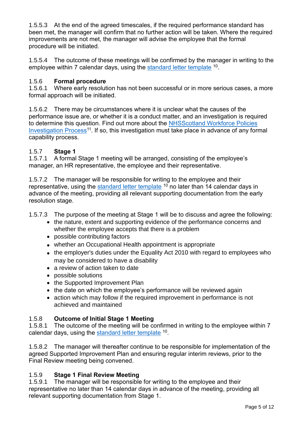1.5.5.3 At the end of the agreed timescales, if the required performance standard has been met, the manager will confirm that no further action will be taken. Where the required improvements are not met, the manager will advise the employee that the formal procedure will be initiated.

1.5.5.4 The outcome of these meetings will be confirmed by the manager in writing to the employee within 7 calendar days, using the **standard letter template** <sup>10</sup>.

## 1.5.6 **Formal procedure**

1.5.6.1 Where early resolution has not been successful or in more serious cases, a more formal approach will be initiated.

1.5.6.2 There may be circumstances where it is unclear what the causes of the performance issue are, or whether it is a conduct matter, and an investigation is required to determine this question. Find out more about the [NHSScotland Workforce Policies](https://workforce.nhs.scot/policies/workforce-policies-investigation-process-overview/)  [Investigation Process](https://workforce.nhs.scot/policies/workforce-policies-investigation-process-overview/)<sup>11</sup>. If so, this investigation must take place in advance of any formal capability process.

# 1.5.7 **Stage 1**

1.5.7.1 A formal Stage 1 meeting will be arranged, consisting of the employee's manager, an HR representative, the employee and their representative.

1.5.7.2 The manager will be responsible for writing to the employee and their representative, using the [standard letter template](https://workforce.nhs.scot/policies/capability-policy-overview/capability-policy/#supporting-documents)  $10$  no later than 14 calendar days in advance of the meeting, providing all relevant supporting documentation from the early resolution stage.

1.5.7.3 The purpose of the meeting at Stage 1 will be to discuss and agree the following:

- the nature, extent and supporting evidence of the performance concerns and whether the employee accepts that there is a problem
- possible contributing factors
- whether an Occupational Health appointment is appropriate
- the employer's duties under the Equality Act 2010 with regard to employees who may be considered to have a disability
- a review of action taken to date
- possible solutions
- the Supported Improvement Plan
- the date on which the employee's performance will be reviewed again
- action which may follow if the required improvement in performance is not achieved and maintained

## 1.5.8 **Outcome of Initial Stage 1 Meeting**

1.5.8.1 The outcome of the meeting will be confirmed in writing to the employee within 7 calendar days, using the **standard letter template** <sup>10</sup>.

1.5.8.2 The manager will thereafter continue to be responsible for implementation of the agreed Supported Improvement Plan and ensuring regular interim reviews, prior to the Final Review meeting being convened.

## 1.5.9 **Stage 1 Final Review Meeting**

1.5.9.1 The manager will be responsible for writing to the employee and their representative no later than 14 calendar days in advance of the meeting, providing all relevant supporting documentation from Stage 1.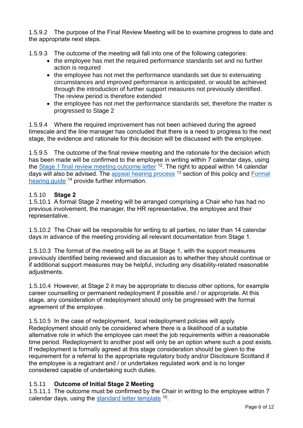1.5.9.2 The purpose of the Final Review Meeting will be to examine progress to date and the appropriate next steps.

1.5.9.3 The outcome of the meeting will fall into one of the following categories:

- the employee has met the required performance standards set and no further action is required
- the employee has not met the performance standards set due to extenuating circumstances and improved performance is anticipated, or would be achieved through the introduction of further support measures not previously identified. The review period is therefore extended
- the employee has not met the performance standards set, therefore the matter is progressed to Stage 2

1.5.9.4 Where the required improvement has not been achieved during the agreed timescale and the line manager has concluded that there is a need to progress to the next stage, the evidence and rationale for this decision will be discussed with the employee.

1.5.9.5 The outcome of the final review meeting and the rationale for the decision which has been made will be confirmed to the employee in writing within 7 calendar days, using the **Stage 1** final review meeting outcome letter <sup>12</sup>. The right to appeal within 14 calendar days will also be advised. The [appeal hearing process](https://workforce.nhs.scot/policies/capability-policy-overview/capability-policy/#appealhearingprocess) <sup>13</sup> section of this policy and Formal [hearing guide](https://workforce.nhs.scot/supporting-documents/guides/formal-hearing-guide/) <sup>14</sup> provide further information.

# 1.5.10 **Stage 2**

1.5.10.1 A formal Stage 2 meeting will be arranged comprising a Chair who has had no previous involvement, the manager, the HR representative, the employee and their representative.

1.5.10.2 The Chair will be responsible for writing to all parties, no later than 14 calendar days in advance of the meeting providing all relevant documentation from Stage 1.

1.5.10.3 The format of the meeting will be as at Stage 1, with the support measures previously identified being reviewed and discussion as to whether they should continue or if additional support measures may be helpful, including any disability-related reasonable adjustments.

1.5.10.4 However, at Stage 2 it may be appropriate to discuss other options, for example career counselling or permanent redeployment if possible and / or appropriate. At this stage, any consideration of redeployment should only be progressed with the formal agreement of the employee.

1.5.10.5 In the case of redeployment, local redeployment policies will apply. Redeployment should only be considered where there is a likelihood of a suitable alternative role in which the employee can meet the job requirements within a reasonable time period. Redeployment to another post will only be an option where such a post exists. If redeployment is formally agreed at this stage consideration should be given to the requirement for a referral to the appropriate regulatory body and/or Disclosure Scotland if the employee is a registrant and / or undertakes regulated work and is no longer considered capable of undertaking such duties.

## 1.5.11 **Outcome of Initial Stage 2 Meeting**

1.5.11.1 The outcome must be confirmed by the Chair in writing to the employee within 7 calendar days, using the [standard letter template](https://workforce.nhs.scot/policies/capability-policy-overview/capability-policy/#supporting-documents) <sup>10</sup>.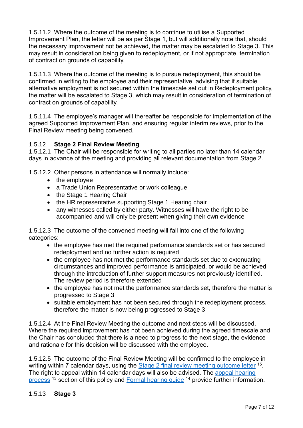1.5.11.2 Where the outcome of the meeting is to continue to utilise a Supported Improvement Plan, the letter will be as per Stage 1, but will additionally note that, should the necessary improvement not be achieved, the matter may be escalated to Stage 3. This may result in consideration being given to redeployment, or if not appropriate, termination of contract on grounds of capability.

1.5.11.3 Where the outcome of the meeting is to pursue redeployment, this should be confirmed in writing to the employee and their representative, advising that if suitable alternative employment is not secured within the timescale set out in Redeployment policy, the matter will be escalated to Stage 3, which may result in consideration of termination of contract on grounds of capability.

1.5.11.4 The employee's manager will thereafter be responsible for implementation of the agreed Supported Improvement Plan, and ensuring regular interim reviews, prior to the Final Review meeting being convened.

## 1.5.12 **Stage 2 Final Review Meeting**

1.5.12.1 The Chair will be responsible for writing to all parties no later than 14 calendar days in advance of the meeting and providing all relevant documentation from Stage 2.

1.5.12.2 Other persons in attendance will normally include:

- the employee
- a Trade Union Representative or work colleague
- the Stage 1 Hearing Chair
- the HR representative supporting Stage 1 Hearing chair
- any witnesses called by either party. Witnesses will have the right to be accompanied and will only be present when giving their own evidence

1.5.12.3 The outcome of the convened meeting will fall into one of the following categories:

- the employee has met the required performance standards set or has secured redeployment and no further action is required
- the employee has not met the performance standards set due to extenuating circumstances and improved performance is anticipated, or would be achieved through the introduction of further support measures not previously identified. The review period is therefore extended
- the employee has not met the performance standards set, therefore the matter is progressed to Stage 3
- suitable employment has not been secured through the redeployment process, therefore the matter is now being progressed to Stage 3

1.5.12.4 At the Final Review Meeting the outcome and next steps will be discussed. Where the required improvement has not been achieved during the agreed timescale and the Chair has concluded that there is a need to progress to the next stage, the evidence and rationale for this decision will be discussed with the employee.

1.5.12.5 The outcome of the Final Review Meeting will be confirmed to the employee in writing within 7 calendar days, using the **Stage 2 final review meeting outcome letter** <sup>15</sup>. The right to appeal within 14 calendar days will also be advised. The [appeal hearing](https://workforce.nhs.scot/policies/capability-policy-overview/capability-policy/#appealhearingprocess)  [process](https://workforce.nhs.scot/policies/capability-policy-overview/capability-policy/#appealhearingprocess) <sup>13</sup> section of this policy and [Formal hearing guide](https://workforce.nhs.scot/supporting-documents/guides/formal-hearing-guide/) <sup>14</sup> provide further information.

## 1.5.13 **Stage 3**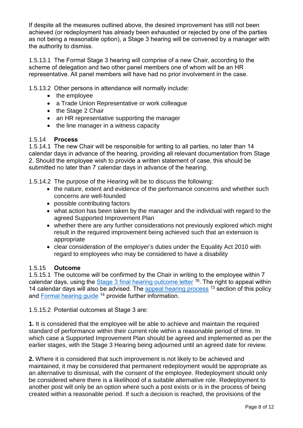If despite all the measures outlined above, the desired improvement has still not been achieved (or redeployment has already been exhausted or rejected by one of the parties as not being a reasonable option), a Stage 3 hearing will be convened by a manager with the authority to dismiss.

1.5.13.1 The Formal Stage 3 hearing will comprise of a new Chair, according to the scheme of delegation and two other panel members one of whom will be an HR representative. All panel members will have had no prior involvement in the case.

1.5.13.2 Other persons in attendance will normally include:

- the employee
- a Trade Union Representative or work colleague
- the Stage 2 Chair
- an HR representative supporting the manager
- the line manager in a witness capacity

## 1.5.14 **Process**

1.5.14.1 The new Chair will be responsible for writing to all parties, no later than 14 calendar days in advance of the hearing, providing all relevant documentation from Stage 2. Should the employee wish to provide a written statement of case, this should be submitted no later than 7 calendar days in advance of the hearing.

1.5.14.2 The purpose of the Hearing will be to discuss the following:

- the nature, extent and evidence of the performance concerns and whether such concerns are well-founded
- possible contributing factors
- what action has been taken by the manager and the individual with regard to the agreed Supported Improvement Plan
- whether there are any further considerations not previously explored which might result in the required improvement being achieved such that an extension is appropriate
- clear consideration of the employer's duties under the Equality Act 2010 with regard to employees who may be considered to have a disability

## 1.5.15 **Outcome**

1.5.15.1 The outcome will be confirmed by the Chair in writing to the employee within 7 calendar days, using the **Stage 3 final hearing outcome letter** <sup>16</sup>. The right to appeal within 14 calendar days will also be advised. The [appeal hearing process](https://workforce.nhs.scot/policies/capability-policy-overview/capability-policy/#appealhearingprocess) <sup>13</sup> section of this policy and [Formal hearing guide](https://workforce.nhs.scot/supporting-documents/guides/formal-hearing-guide/) <sup>14</sup> provide further information.

1.5.15.2 Potential outcomes at Stage 3 are:

**1.** It is considered that the employee will be able to achieve and maintain the required standard of performance within their current role within a reasonable period of time. In which case a Supported Improvement Plan should be agreed and implemented as per the earlier stages, with the Stage 3 Hearing being adjourned until an agreed date for review.

**2.** Where it is considered that such improvement is not likely to be achieved and maintained, it may be considered that permanent redeployment would be appropriate as an alternative to dismissal, with the consent of the employee. Redeployment should only be considered where there is a likelihood of a suitable alternative role. Redeployment to another post will only be an option where such a post exists or is in the process of being created within a reasonable period. If such a decision is reached, the provisions of the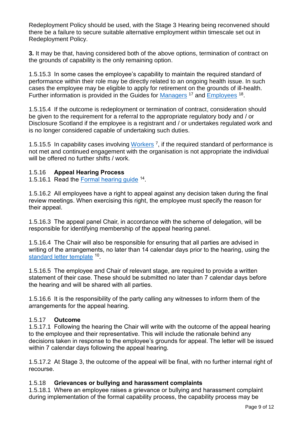Redeployment Policy should be used, with the Stage 3 Hearing being reconvened should there be a failure to secure suitable alternative employment within timescale set out in Redeployment Policy.

**3.** It may be that, having considered both of the above options, termination of contract on the grounds of capability is the only remaining option.

1.5.15.3 In some cases the employee's capability to maintain the required standard of performance within their role may be directly related to an ongoing health issue. In such cases the employee may be eligible to apply for retirement on the grounds of ill-health. Further information is provided in the Guides for [Managers](https://workforce.nhs.scot/supporting-documents/guides/capability-policy-guide-for-managers/)<sup>17</sup> and **Employees**<sup>18</sup>.

1.5.15.4 If the outcome is redeployment or termination of contract, consideration should be given to the requirement for a referral to the appropriate regulatory body and / or Disclosure Scotland if the employee is a registrant and / or undertakes regulated work and is no longer considered capable of undertaking such duties.

1.5.15.5 In capability cases involving [Workers](https://workforce.nhs.scot/supporting-documents/guides/guide-to-the-application-of-nhsscotland-workforce-policies-to-workers/)<sup>7</sup>, if the required standard of performance is not met and continued engagement with the organisation is not appropriate the individual will be offered no further shifts / work.

## 1.5.16 **Appeal Hearing Process**

1.5.16.1 Read the [Formal hearing guide](https://workforce.nhs.scot/supporting-documents/guides/formal-hearing-guide/) <sup>14</sup>.

1.5.16.2 All employees have a right to appeal against any decision taken during the final review meetings. When exercising this right, the employee must specify the reason for their appeal.

1.5.16.3 The appeal panel Chair, in accordance with the scheme of delegation, will be responsible for identifying membership of the appeal hearing panel.

1.5.16.4 The Chair will also be responsible for ensuring that all parties are advised in writing of the arrangements, no later than 14 calendar days prior to the hearing, using the [standard letter template](https://workforce.nhs.scot/policies/capability-policy-overview/capability-policy/#supporting-documents) <sup>10</sup>.

1.5.16.5 The employee and Chair of relevant stage, are required to provide a written statement of their case. These should be submitted no later than 7 calendar days before the hearing and will be shared with all parties.

1.5.16.6 It is the responsibility of the party calling any witnesses to inform them of the arrangements for the appeal hearing.

## 1.5.17 **Outcome**

1.5.17.1 Following the hearing the Chair will write with the outcome of the appeal hearing to the employee and their representative. This will include the rationale behind any decisions taken in response to the employee's grounds for appeal. The letter will be issued within 7 calendar days following the appeal hearing.

1.5.17.2 At Stage 3, the outcome of the appeal will be final, with no further internal right of recourse.

## 1.5.18 **Grievances or bullying and harassment complaints**

1.5.18.1 Where an employee raises a grievance or bullying and harassment complaint during implementation of the formal capability process, the capability process may be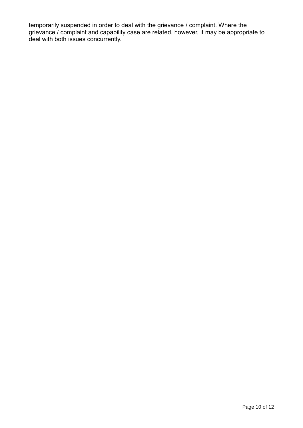temporarily suspended in order to deal with the grievance / complaint. Where the grievance / complaint and capability case are related, however, it may be appropriate to deal with both issues concurrently.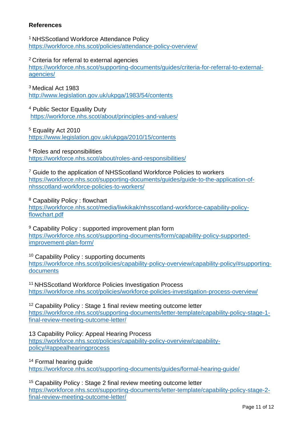## **References**

<sup>1</sup>NHSScotland Workforce Attendance Policy <https://workforce.nhs.scot/policies/attendance-policy-overview/>

<sup>2</sup>Criteria for referral to external agencies

[https://workforce.nhs.scot/supporting-documents/guides/criteria-for-referral-to-external](https://workforce.nhs.scot/supporting-documents/guides/criteria-for-referral-to-external-agencies/)[agencies/](https://workforce.nhs.scot/supporting-documents/guides/criteria-for-referral-to-external-agencies/)

<sup>3</sup> Medical Act 1983 <http://www.legislation.gov.uk/ukpga/1983/54/contents>

<sup>4</sup> Public Sector Equality Duty <https://workforce.nhs.scot/about/principles-and-values/>

<sup>5</sup> Equality Act 2010 <https://www.legislation.gov.uk/ukpga/2010/15/contents>

<sup>6</sup> Roles and responsibilities <https://workforce.nhs.scot/about/roles-and-responsibilities/>

<sup>7</sup> Guide to the application of NHSScotland Workforce Policies to workers [https://workforce.nhs.scot/supporting-documents/guides/guide-to-the-application-of](https://workforce.nhs.scot/supporting-documents/guides/guide-to-the-application-of-nhsscotland-workforce-policies-to-workers/)[nhsscotland-workforce-policies-to-workers/](https://workforce.nhs.scot/supporting-documents/guides/guide-to-the-application-of-nhsscotland-workforce-policies-to-workers/)

<sup>8</sup> Capability Policy : flowchart

[https://workforce.nhs.scot/media/liwkikak/nhsscotland-workforce-capability-policy](https://workforce.nhs.scot/media/liwkikak/nhsscotland-workforce-capability-policy-flowchart.pdf)[flowchart.pdf](https://workforce.nhs.scot/media/liwkikak/nhsscotland-workforce-capability-policy-flowchart.pdf)

<sup>9</sup> Capability Policy : supported improvement plan form [https://workforce.nhs.scot/supporting-documents/form/capability-policy-supported](https://workforce.nhs.scot/supporting-documents/form/capability-policy-supported-improvement-plan-form/)[improvement-plan-form/](https://workforce.nhs.scot/supporting-documents/form/capability-policy-supported-improvement-plan-form/)

<sup>10</sup> Capability Policy : supporting documents [https://workforce.nhs.scot/policies/capability-policy-overview/capability-policy/#supporting](https://workforce.nhs.scot/policies/capability-policy-overview/capability-policy/#supporting-documents)[documents](https://workforce.nhs.scot/policies/capability-policy-overview/capability-policy/#supporting-documents)

<sup>11</sup> NHSScotland Workforce Policies Investigation Process <https://workforce.nhs.scot/policies/workforce-policies-investigation-process-overview/>

<sup>12</sup> Capability Policy : Stage 1 final review meeting outcome letter [https://workforce.nhs.scot/supporting-documents/letter-template/capability-policy-stage-1](https://workforce.nhs.scot/supporting-documents/letter-template/capability-policy-stage-1-final-review-meeting-outcome-letter/) [final-review-meeting-outcome-letter/](https://workforce.nhs.scot/supporting-documents/letter-template/capability-policy-stage-1-final-review-meeting-outcome-letter/)

13 Capability Policy: Appeal Hearing Process [https://workforce.nhs.scot/policies/capability-policy-overview/capability](https://workforce.nhs.scot/policies/capability-policy-overview/capability-policy/#appealhearingprocess)[policy/#appealhearingprocess](https://workforce.nhs.scot/policies/capability-policy-overview/capability-policy/#appealhearingprocess)

<sup>14</sup> Formal hearing guide

<https://workforce.nhs.scot/supporting-documents/guides/formal-hearing-guide/>

<sup>15</sup> Capability Policy : Stage 2 final review meeting outcome letter [https://workforce.nhs.scot/supporting-documents/letter-template/capability-policy-stage-2](https://workforce.nhs.scot/supporting-documents/letter-template/capability-policy-stage-2-final-review-meeting-outcome-letter/) [final-review-meeting-outcome-letter/](https://workforce.nhs.scot/supporting-documents/letter-template/capability-policy-stage-2-final-review-meeting-outcome-letter/)